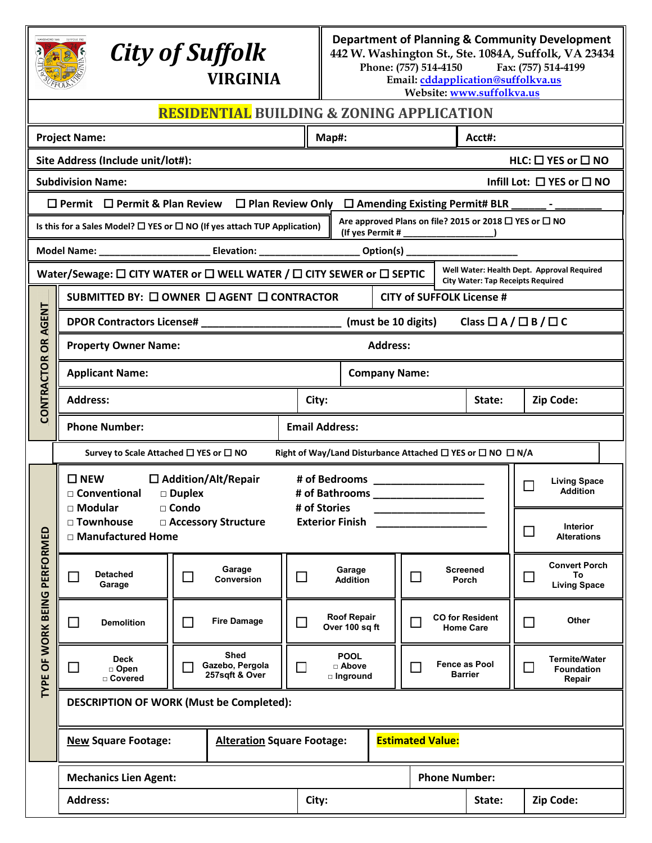| SUFFOLK 1742 |
|--------------|
|              |
|              |
|              |
| FFO          |
|              |

## *City of Suffolk*

**Department of Planning & Community Development**

**442 W. Washington St., Ste. 1084A, Suffolk, VA 23434** Phone: (757) 514-4150

**VIRGINIA**

**Email[: cddapplication@suffolkva.us](mailto:cddapplication@suffolkva.us) Website[: www.suffolkva.us](http://www.suffolkva.us/)**

|                    |                                                                                                                | <b>RESIDENTIAL BUILDING &amp; ZONING APPLICATION</b> |                                                             |                                      |                                  |                                             |                                                            |                                                               |
|--------------------|----------------------------------------------------------------------------------------------------------------|------------------------------------------------------|-------------------------------------------------------------|--------------------------------------|----------------------------------|---------------------------------------------|------------------------------------------------------------|---------------------------------------------------------------|
|                    | <b>Project Name:</b>                                                                                           | Map#:                                                |                                                             |                                      |                                  | Acct#:                                      |                                                            |                                                               |
|                    | Site Address (Include unit/lot#):                                                                              |                                                      |                                                             |                                      |                                  |                                             |                                                            | HLC: □ YES or □ NO                                            |
|                    | <b>Subdivision Name:</b>                                                                                       |                                                      |                                                             |                                      |                                  |                                             |                                                            | Infill Lot: $\Box$ YES or $\Box$ NO                           |
|                    | $\Box$ Permit $\Box$ Permit & Plan Review $\Box$ Plan Review Only $\Box$ Amending Existing Permit# BLR         |                                                      |                                                             |                                      |                                  |                                             |                                                            |                                                               |
|                    | Is this for a Sales Model? $\square$ YES or $\square$ NO (If yes attach TUP Application)                       |                                                      |                                                             |                                      |                                  |                                             | Are approved Plans on file? 2015 or 2018 □ YES or □ NO     |                                                               |
|                    | Model Name: ___________________________Elevation: _________________________Option(s) _________________________ |                                                      |                                                             |                                      |                                  |                                             |                                                            |                                                               |
|                    | Water/Sewage: $\square$ CITY WATER or $\square$ WELL WATER / $\square$ CITY SEWER or $\square$ SEPTIC          |                                                      |                                                             |                                      |                                  |                                             | <b>City Water: Tap Receipts Required</b>                   | Well Water: Health Dept. Approval Required                    |
|                    | SUBMITTED BY: □ OWNER □ AGENT □ CONTRACTOR                                                                     |                                                      |                                                             |                                      | <b>CITY of SUFFOLK License #</b> |                                             |                                                            |                                                               |
| AGENT              | DPOR Contractors License# ______________                                                                       |                                                      |                                                             |                                      |                                  | (must be 10 digits)                         | Class $\Box A / \Box B / \Box C$                           |                                                               |
| <b>SR</b>          | <b>Property Owner Name:</b>                                                                                    |                                                      |                                                             |                                      | <b>Address:</b>                  |                                             |                                                            |                                                               |
|                    | <b>Applicant Name:</b>                                                                                         |                                                      | <b>Company Name:</b>                                        |                                      |                                  |                                             |                                                            |                                                               |
| <b>CONTRACTOR</b>  | <b>Address:</b>                                                                                                |                                                      |                                                             | City:                                |                                  |                                             | State:                                                     | Zip Code:                                                     |
|                    | <b>Phone Number:</b>                                                                                           |                                                      | <b>Email Address:</b>                                       |                                      |                                  |                                             |                                                            |                                                               |
|                    | Survey to Scale Attached □ YES or □ NO                                                                         |                                                      |                                                             |                                      |                                  |                                             | Right of Way/Land Disturbance Attached □ YES or □ NO □ N/A |                                                               |
| RFORMED            | $\square$ NEW<br>$\Box$ Addition/Alt/Repair<br>□ Conventional<br>□ Duplex<br>□ Condo<br>□ Modular              |                                                      | # of Bedrooms<br>__________________________<br># of Stories |                                      |                                  | <b>Living Space</b><br>П<br><b>Addition</b> |                                                            |                                                               |
|                    | □ Townhouse<br><b>Exterior Finish</b><br>□ Accessory Structure<br>□ Manufactured Home                          |                                                      |                                                             |                                      |                                  |                                             |                                                            | <b>Interior</b><br><b>Alterations</b>                         |
| 문                  | <b>Detached</b><br>$\Box$<br>Garage                                                                            | Garage<br>ш<br><b>Conversion</b>                     | ப                                                           | Garage<br><b>Addition</b>            |                                  | ப                                           | <b>Screened</b><br>Porch                                   | <b>Convert Porch</b><br>$\Box$<br>To<br><b>Living Space</b>   |
| TYPE OF WORK BEING | $\Box$<br><b>Demolition</b>                                                                                    | <b>Fire Damage</b><br>□                              | $\Box$                                                      | <b>Roof Repair</b><br>Over 100 sq ft |                                  |                                             | <b>CO for Resident</b><br><b>Home Care</b>                 | Other<br>$\Box$                                               |
|                    | <b>Deck</b><br>$\Box$<br>□ Open<br>□ Covered                                                                   | <b>Shed</b><br>Gazebo, Pergola<br>257sqft & Over     | ×                                                           | <b>POOL</b><br>□ Above<br>□ Inground |                                  |                                             | Fence as Pool<br><b>Barrier</b>                            | <b>Termite/Water</b><br>$\Box$<br><b>Foundation</b><br>Repair |
|                    |                                                                                                                | <b>DESCRIPTION OF WORK (Must be Completed):</b>      |                                                             |                                      |                                  |                                             |                                                            |                                                               |
|                    | <b>New Square Footage:</b>                                                                                     | <b>Alteration Square Footage:</b>                    |                                                             |                                      |                                  | <b>Estimated Value:</b>                     |                                                            |                                                               |
|                    | <b>Mechanics Lien Agent:</b>                                                                                   |                                                      |                                                             |                                      |                                  | <b>Phone Number:</b>                        |                                                            |                                                               |
|                    | <b>Address:</b>                                                                                                |                                                      | City:                                                       |                                      |                                  |                                             | State:                                                     | Zip Code:                                                     |